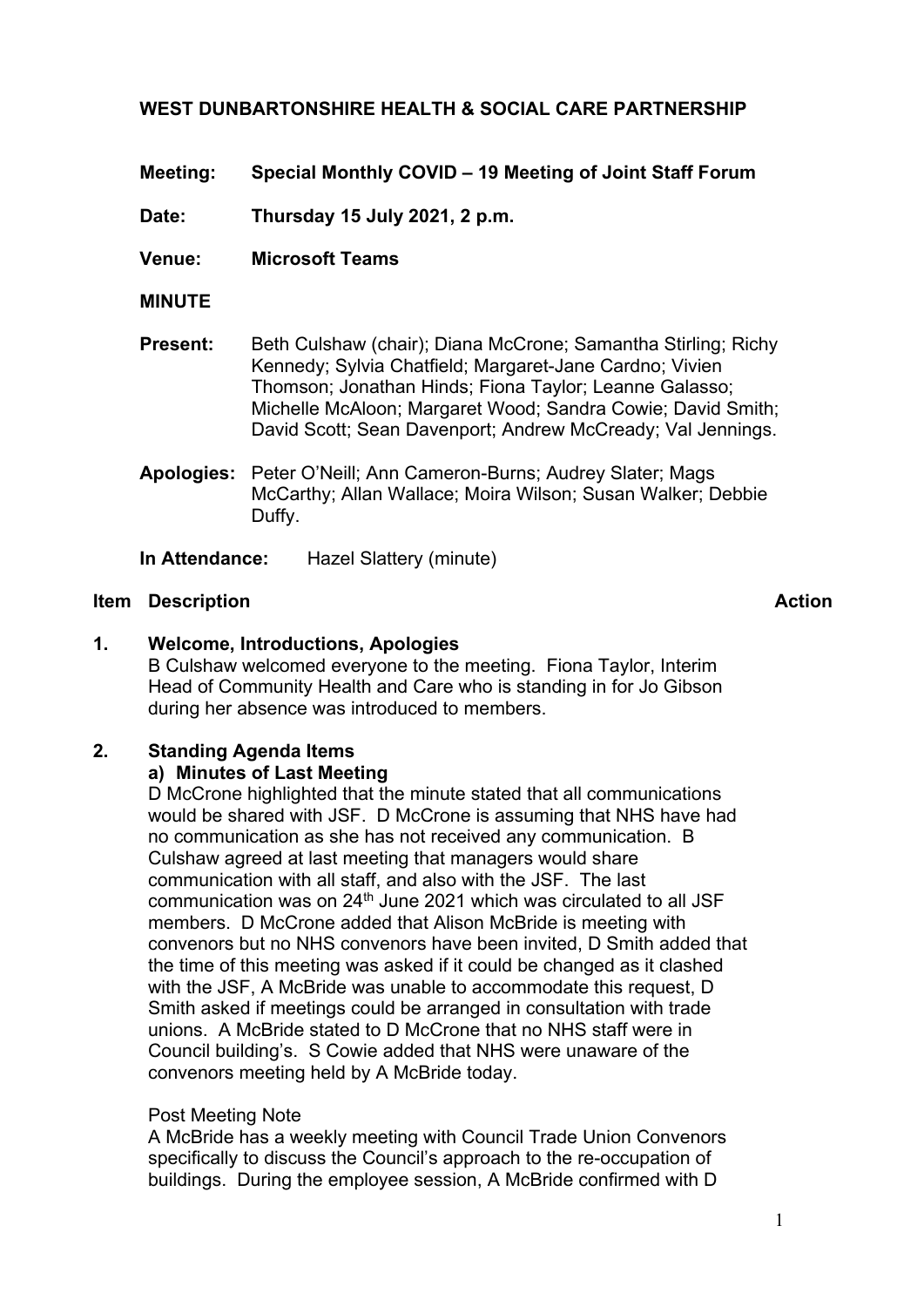# **WEST DUNBARTONSHIRE HEALTH & SOCIAL CARE PARTNERSHIP**

**Meeting: Special Monthly COVID – 19 Meeting of Joint Staff Forum** 

**Date: Thursday 15 July 2021, 2 p.m.**

**Venue: Microsoft Teams**

- **MINUTE**
- **Present:** Beth Culshaw (chair); Diana McCrone; Samantha Stirling; Richy Kennedy; Sylvia Chatfield; Margaret-Jane Cardno; Vivien Thomson; Jonathan Hinds; Fiona Taylor; Leanne Galasso; Michelle McAloon; Margaret Wood; Sandra Cowie; David Smith; David Scott; Sean Davenport; Andrew McCready; Val Jennings.
- **Apologies:** Peter O'Neill; Ann Cameron-Burns; Audrey Slater; Mags McCarthy; Allan Wallace; Moira Wilson; Susan Walker; Debbie Duffy.

**In Attendance:** Hazel Slattery (minute)

#### **Item Description Action**

## **1. Welcome, Introductions, Apologies**

B Culshaw welcomed everyone to the meeting. Fiona Taylor, Interim Head of Community Health and Care who is standing in for Jo Gibson during her absence was introduced to members.

## **2. Standing Agenda Items**

## **a) Minutes of Last Meeting**

D McCrone highlighted that the minute stated that all communications would be shared with JSF. D McCrone is assuming that NHS have had no communication as she has not received any communication. B Culshaw agreed at last meeting that managers would share communication with all staff, and also with the JSF. The last communication was on 24th June 2021 which was circulated to all JSF members. D McCrone added that Alison McBride is meeting with convenors but no NHS convenors have been invited, D Smith added that the time of this meeting was asked if it could be changed as it clashed with the JSF, A McBride was unable to accommodate this request, D Smith asked if meetings could be arranged in consultation with trade unions. A McBride stated to D McCrone that no NHS staff were in Council building's. S Cowie added that NHS were unaware of the convenors meeting held by A McBride today.

## Post Meeting Note

A McBride has a weekly meeting with Council Trade Union Convenors specifically to discuss the Council's approach to the re-occupation of buildings. During the employee session, A McBride confirmed with D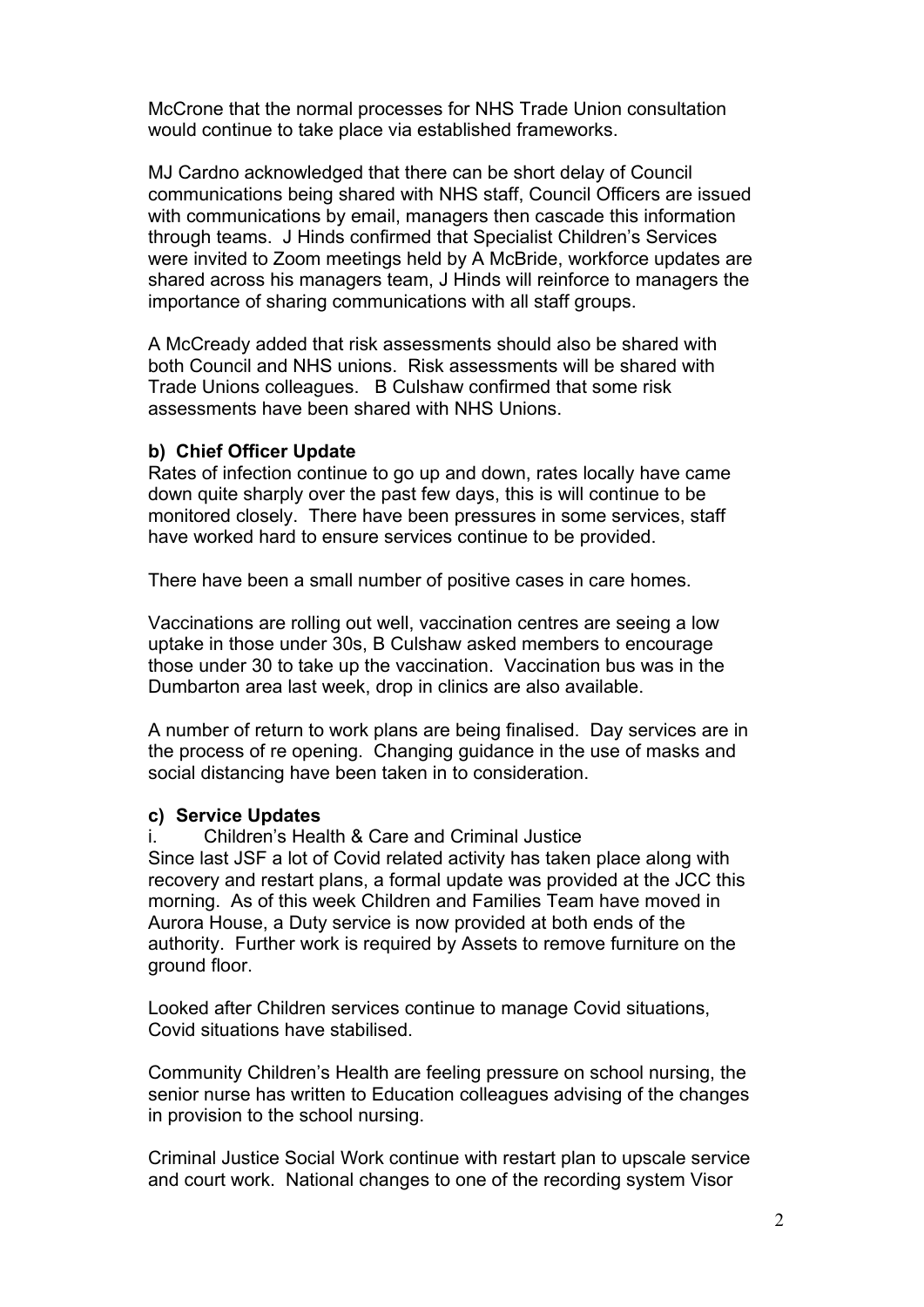McCrone that the normal processes for NHS Trade Union consultation would continue to take place via established frameworks.

MJ Cardno acknowledged that there can be short delay of Council communications being shared with NHS staff, Council Officers are issued with communications by email, managers then cascade this information through teams. J Hinds confirmed that Specialist Children's Services were invited to Zoom meetings held by A McBride, workforce updates are shared across his managers team, J Hinds will reinforce to managers the importance of sharing communications with all staff groups.

A McCready added that risk assessments should also be shared with both Council and NHS unions. Risk assessments will be shared with Trade Unions colleagues. B Culshaw confirmed that some risk assessments have been shared with NHS Unions.

#### **b) Chief Officer Update**

Rates of infection continue to go up and down, rates locally have came down quite sharply over the past few days, this is will continue to be monitored closely. There have been pressures in some services, staff have worked hard to ensure services continue to be provided.

There have been a small number of positive cases in care homes.

Vaccinations are rolling out well, vaccination centres are seeing a low uptake in those under 30s, B Culshaw asked members to encourage those under 30 to take up the vaccination. Vaccination bus was in the Dumbarton area last week, drop in clinics are also available.

A number of return to work plans are being finalised. Day services are in the process of re opening. Changing guidance in the use of masks and social distancing have been taken in to consideration.

#### **c) Service Updates**

i. Children's Health & Care and Criminal Justice Since last JSF a lot of Covid related activity has taken place along with recovery and restart plans, a formal update was provided at the JCC this morning. As of this week Children and Families Team have moved in Aurora House, a Duty service is now provided at both ends of the authority. Further work is required by Assets to remove furniture on the ground floor.

Looked after Children services continue to manage Covid situations, Covid situations have stabilised.

Community Children's Health are feeling pressure on school nursing, the senior nurse has written to Education colleagues advising of the changes in provision to the school nursing.

Criminal Justice Social Work continue with restart plan to upscale service and court work. National changes to one of the recording system Visor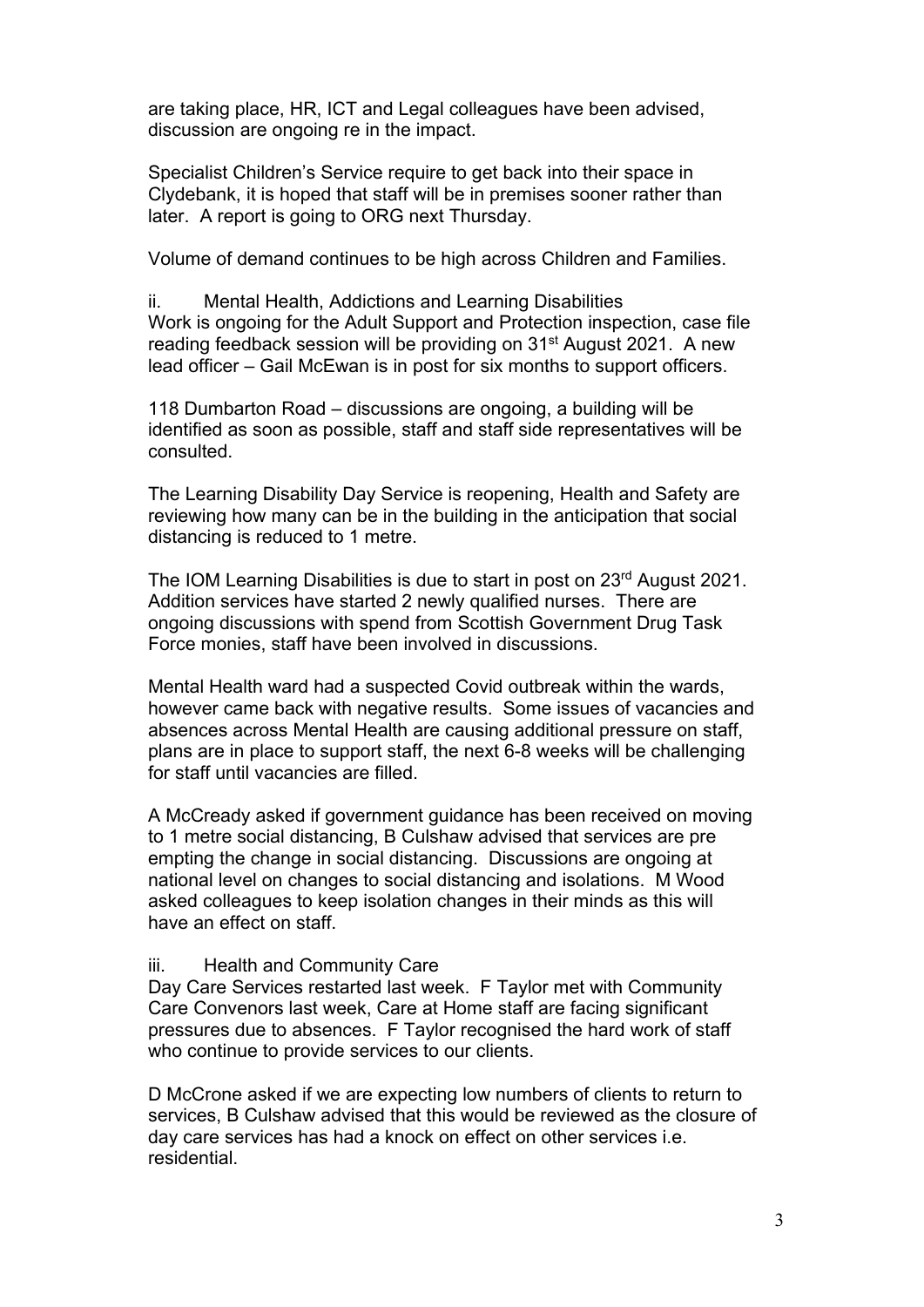are taking place, HR, ICT and Legal colleagues have been advised, discussion are ongoing re in the impact.

Specialist Children's Service require to get back into their space in Clydebank, it is hoped that staff will be in premises sooner rather than later. A report is going to ORG next Thursday.

Volume of demand continues to be high across Children and Families.

ii. Mental Health, Addictions and Learning Disabilities Work is ongoing for the Adult Support and Protection inspection, case file reading feedback session will be providing on 31<sup>st</sup> August 2021. A new lead officer – Gail McEwan is in post for six months to support officers.

118 Dumbarton Road – discussions are ongoing, a building will be identified as soon as possible, staff and staff side representatives will be consulted.

The Learning Disability Day Service is reopening, Health and Safety are reviewing how many can be in the building in the anticipation that social distancing is reduced to 1 metre.

The IOM Learning Disabilities is due to start in post on 23<sup>rd</sup> August 2021. Addition services have started 2 newly qualified nurses. There are ongoing discussions with spend from Scottish Government Drug Task Force monies, staff have been involved in discussions.

Mental Health ward had a suspected Covid outbreak within the wards, however came back with negative results. Some issues of vacancies and absences across Mental Health are causing additional pressure on staff, plans are in place to support staff, the next 6-8 weeks will be challenging for staff until vacancies are filled.

A McCready asked if government guidance has been received on moving to 1 metre social distancing, B Culshaw advised that services are pre empting the change in social distancing. Discussions are ongoing at national level on changes to social distancing and isolations. M Wood asked colleagues to keep isolation changes in their minds as this will have an effect on staff.

#### iii. Health and Community Care

Day Care Services restarted last week. F Taylor met with Community Care Convenors last week, Care at Home staff are facing significant pressures due to absences. F Taylor recognised the hard work of staff who continue to provide services to our clients.

D McCrone asked if we are expecting low numbers of clients to return to services, B Culshaw advised that this would be reviewed as the closure of day care services has had a knock on effect on other services i.e. residential.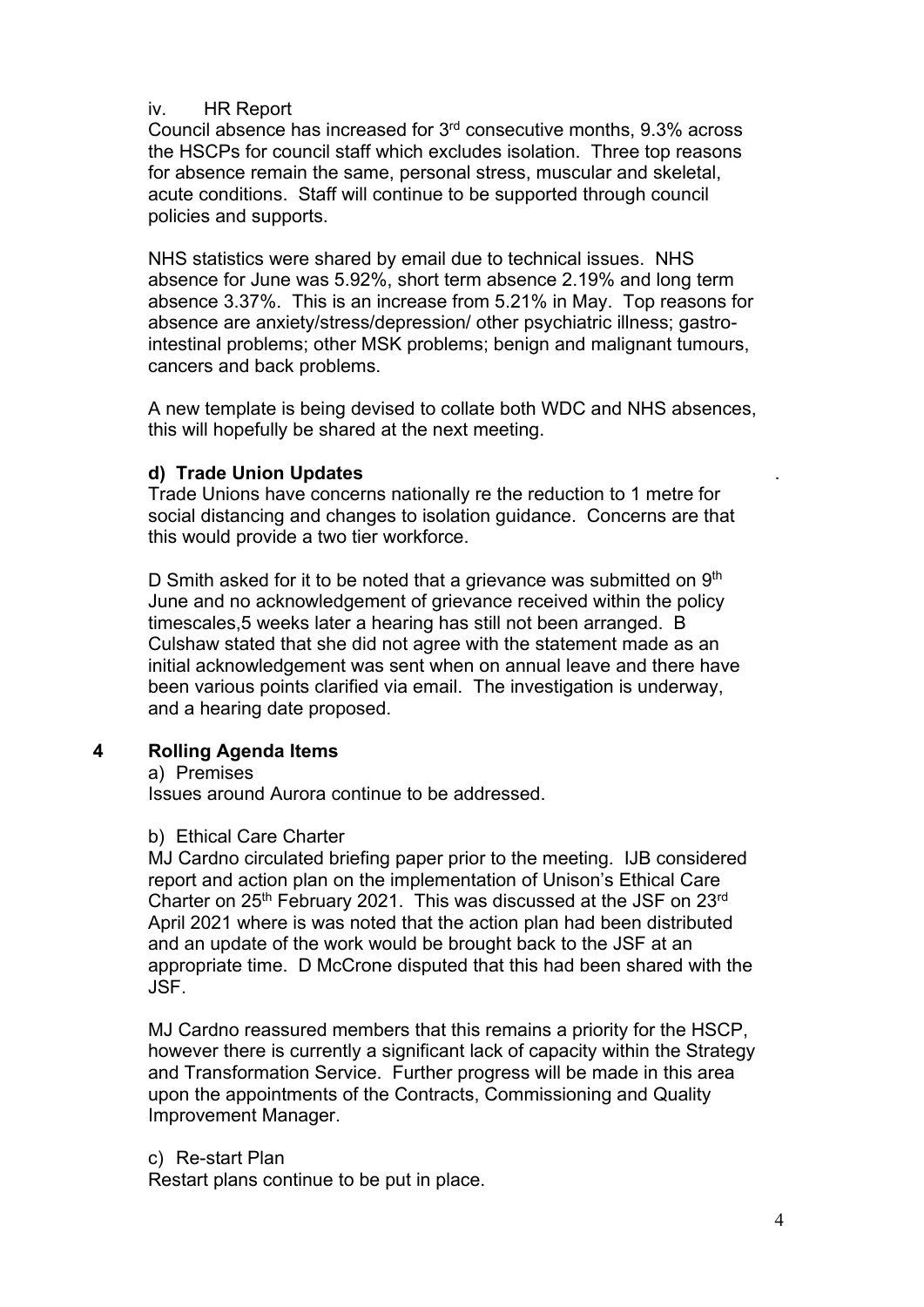## iv. HR Report

Council absence has increased for 3rd consecutive months, 9.3% across the HSCPs for council staff which excludes isolation. Three top reasons for absence remain the same, personal stress, muscular and skeletal, acute conditions. Staff will continue to be supported through council policies and supports.

NHS statistics were shared by email due to technical issues. NHS absence for June was 5.92%, short term absence 2.19% and long term absence 3.37%. This is an increase from 5.21% in May. Top reasons for absence are anxiety/stress/depression/ other psychiatric illness; gastrointestinal problems; other MSK problems; benign and malignant tumours, cancers and back problems.

A new template is being devised to collate both WDC and NHS absences, this will hopefully be shared at the next meeting.

## **d) Trade Union Updates**

Trade Unions have concerns nationally re the reduction to 1 metre for social distancing and changes to isolation guidance. Concerns are that this would provide a two tier workforce.

D Smith asked for it to be noted that a grievance was submitted on  $9<sup>th</sup>$ June and no acknowledgement of grievance received within the policy timescales,5 weeks later a hearing has still not been arranged. B Culshaw stated that she did not agree with the statement made as an initial acknowledgement was sent when on annual leave and there have been various points clarified via email. The investigation is underway, and a hearing date proposed.

# **4 Rolling Agenda Items**

a) Premises

Issues around Aurora continue to be addressed.

## b) Ethical Care Charter

MJ Cardno circulated briefing paper prior to the meeting. IJB considered report and action plan on the implementation of Unison's Ethical Care Charter on 25<sup>th</sup> February 2021. This was discussed at the JSF on 23<sup>rd</sup> April 2021 where is was noted that the action plan had been distributed and an update of the work would be brought back to the JSF at an appropriate time. D McCrone disputed that this had been shared with the JSF.

MJ Cardno reassured members that this remains a priority for the HSCP, however there is currently a significant lack of capacity within the Strategy and Transformation Service. Further progress will be made in this area upon the appointments of the Contracts, Commissioning and Quality Improvement Manager.

## c) Re-start Plan

Restart plans continue to be put in place.

.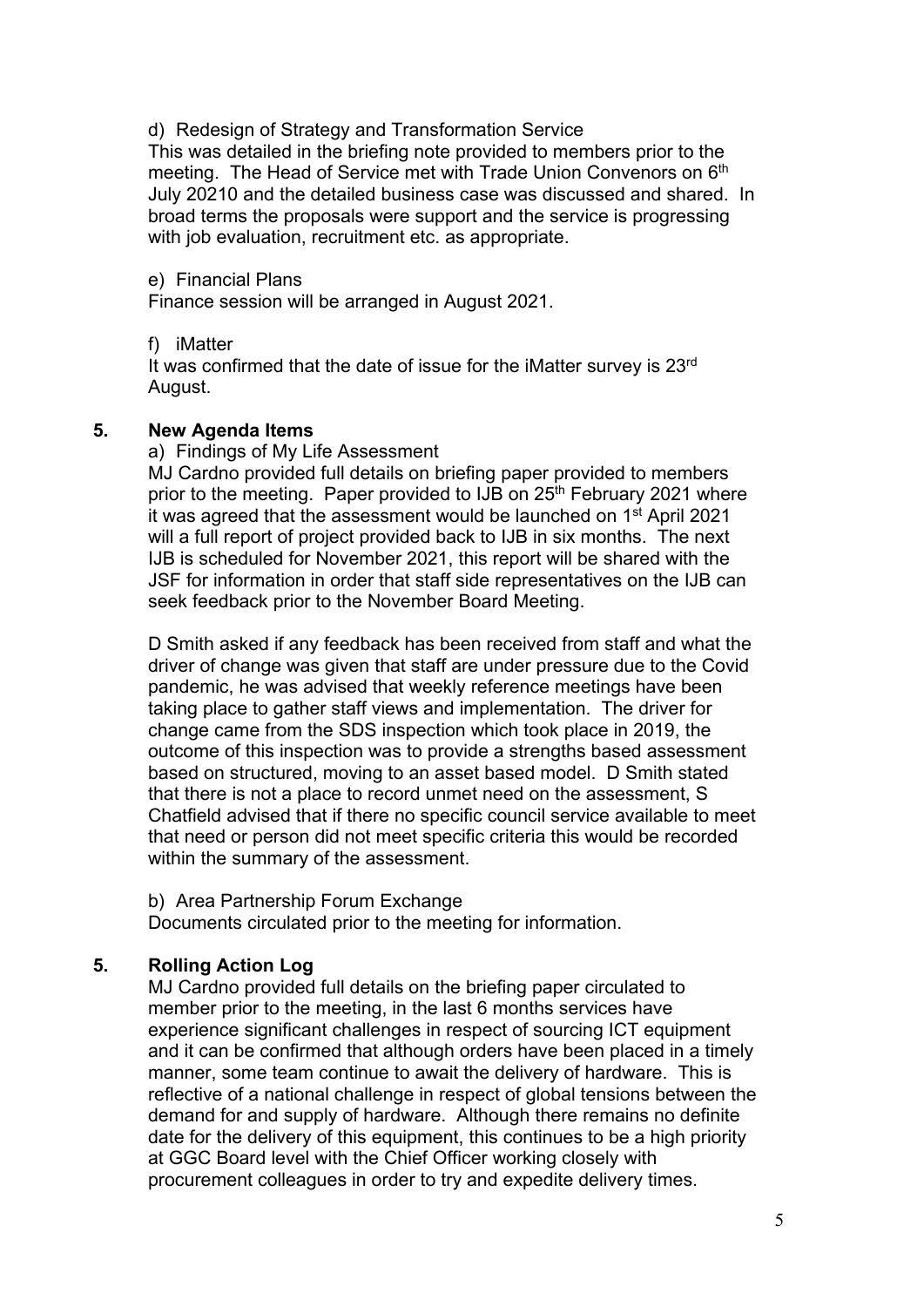d) Redesign of Strategy and Transformation Service This was detailed in the briefing note provided to members prior to the meeting. The Head of Service met with Trade Union Convenors on 6<sup>th</sup> July 20210 and the detailed business case was discussed and shared. In broad terms the proposals were support and the service is progressing with job evaluation, recruitment etc. as appropriate.

e) Financial Plans

Finance session will be arranged in August 2021.

f) iMatter

It was confirmed that the date of issue for the iMatter survey is 23<sup>rd</sup> August.

## **5. New Agenda Items**

a) Findings of My Life Assessment

MJ Cardno provided full details on briefing paper provided to members prior to the meeting. Paper provided to IJB on 25<sup>th</sup> February 2021 where it was agreed that the assessment would be launched on 1<sup>st</sup> April 2021 will a full report of project provided back to IJB in six months. The next IJB is scheduled for November 2021, this report will be shared with the JSF for information in order that staff side representatives on the IJB can seek feedback prior to the November Board Meeting.

D Smith asked if any feedback has been received from staff and what the driver of change was given that staff are under pressure due to the Covid pandemic, he was advised that weekly reference meetings have been taking place to gather staff views and implementation. The driver for change came from the SDS inspection which took place in 2019, the outcome of this inspection was to provide a strengths based assessment based on structured, moving to an asset based model. D Smith stated that there is not a place to record unmet need on the assessment, S Chatfield advised that if there no specific council service available to meet that need or person did not meet specific criteria this would be recorded within the summary of the assessment.

b) Area Partnership Forum Exchange

Documents circulated prior to the meeting for information.

# **5. Rolling Action Log**

MJ Cardno provided full details on the briefing paper circulated to member prior to the meeting, in the last 6 months services have experience significant challenges in respect of sourcing ICT equipment and it can be confirmed that although orders have been placed in a timely manner, some team continue to await the delivery of hardware. This is reflective of a national challenge in respect of global tensions between the demand for and supply of hardware. Although there remains no definite date for the delivery of this equipment, this continues to be a high priority at GGC Board level with the Chief Officer working closely with procurement colleagues in order to try and expedite delivery times.